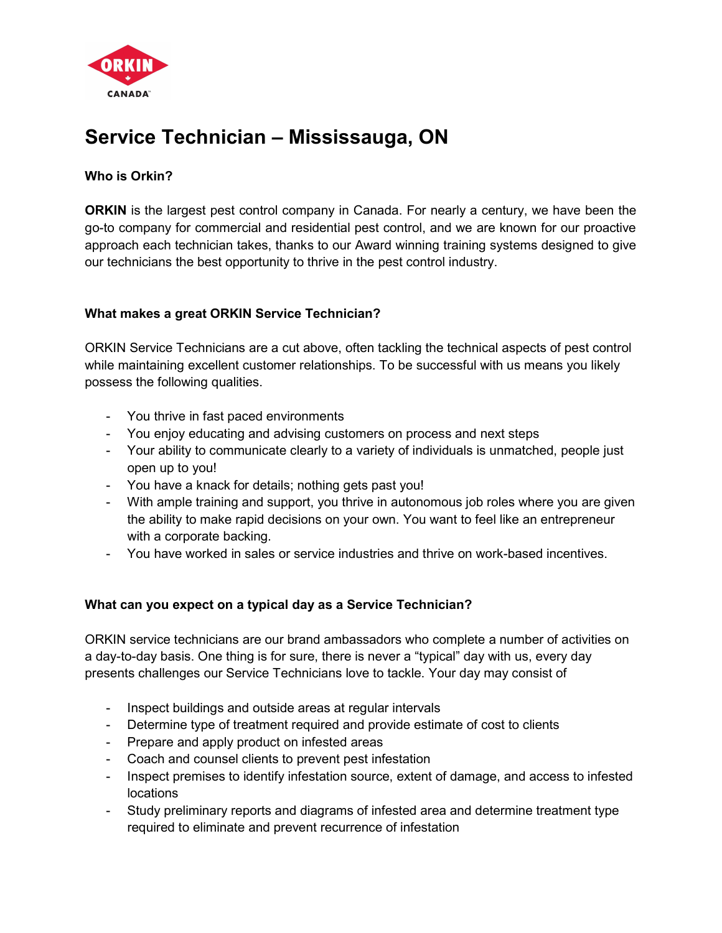

# Service Technician – Mississauga, ON

## Who is Orkin?

**ORKIN** is the largest pest control company in Canada. For nearly a century, we have been the go-to company for commercial and residential pest control, and we are known for our proactive approach each technician takes, thanks to our Award winning training systems designed to give our technicians the best opportunity to thrive in the pest control industry.

### What makes a great ORKIN Service Technician?

ORKIN Service Technicians are a cut above, often tackling the technical aspects of pest control while maintaining excellent customer relationships. To be successful with us means you likely possess the following qualities.

- You thrive in fast paced environments
- You enjoy educating and advising customers on process and next steps
- Your ability to communicate clearly to a variety of individuals is unmatched, people just open up to you!
- You have a knack for details; nothing gets past you!
- With ample training and support, you thrive in autonomous job roles where you are given the ability to make rapid decisions on your own. You want to feel like an entrepreneur with a corporate backing.
- You have worked in sales or service industries and thrive on work-based incentives.

### What can you expect on a typical day as a Service Technician?

ORKIN service technicians are our brand ambassadors who complete a number of activities on a day-to-day basis. One thing is for sure, there is never a "typical" day with us, every day presents challenges our Service Technicians love to tackle. Your day may consist of

- Inspect buildings and outside areas at regular intervals
- Determine type of treatment required and provide estimate of cost to clients
- Prepare and apply product on infested areas
- Coach and counsel clients to prevent pest infestation
- Inspect premises to identify infestation source, extent of damage, and access to infested locations
- Study preliminary reports and diagrams of infested area and determine treatment type required to eliminate and prevent recurrence of infestation